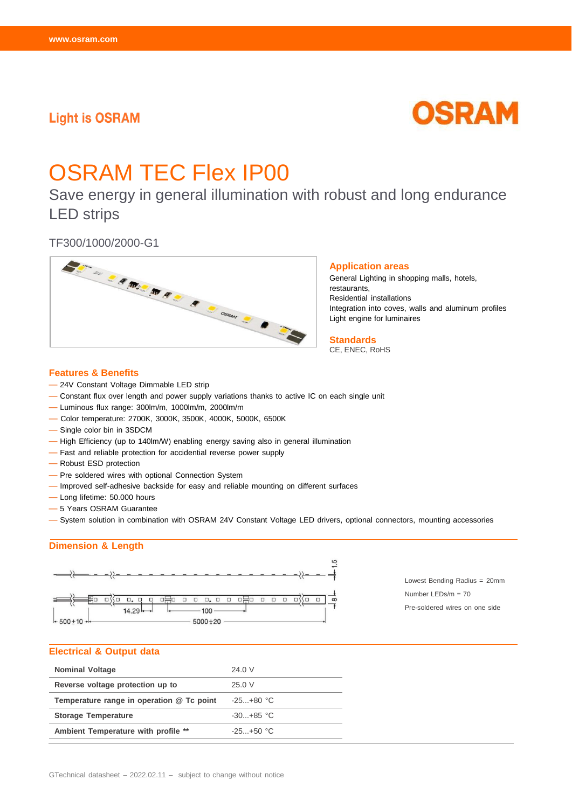# **Light is OSRAM**



# OSRAM TEC Flex IP00

Save energy in general illumination with robust and long endurance LED strips



### **Features & Benefits**

- 24V Constant Voltage Dimmable LED strip
- Constant flux over length and power supply variations thanks to active IC on each single unit
- Luminous flux range: 300lm/m, 1000lm/m, 2000lm/m
- Color temperature: 2700K, 3000K, 3500K, 4000K, 5000K, 6500K
- Single color bin in 3SDCM
- High Efficiency (up to 140lm/W) enabling energy saving also in general illumination
- Fast and reliable protection for accidential reverse power supply
- Robust ESD protection
- Pre soldered wires with optional Connection System
- Improved self-adhesive backside for easy and reliable mounting on different surfaces
- Long lifetime: 50.000 hours
- 5 Years OSRAM Guarantee
- System solution in combination with OSRAM 24V Constant Voltage LED drivers, optional connectors, mounting accessories

## **Dimension & Length**



Lowest Bending Radius = 20mm Number LEDs/m = 70 Pre-soldered wires on one side

#### **Electrical & Output data**

| <b>Nominal Voltage</b>                    | 24.0 V         |
|-------------------------------------------|----------------|
| Reverse voltage protection up to          | 25.0V          |
| Temperature range in operation @ Tc point | $-25. + 80$ °C |
| <b>Storage Temperature</b>                | $-30. +85$ °C  |
| Ambient Temperature with profile **       | $-25. + 50$ °C |

#### **Application areas**

General Lighting in shopping malls, hotels, restaurants, Residential installations Integration into coves, walls and aluminum profiles Light engine for luminaires

**Standards** CE, ENEC, RoHS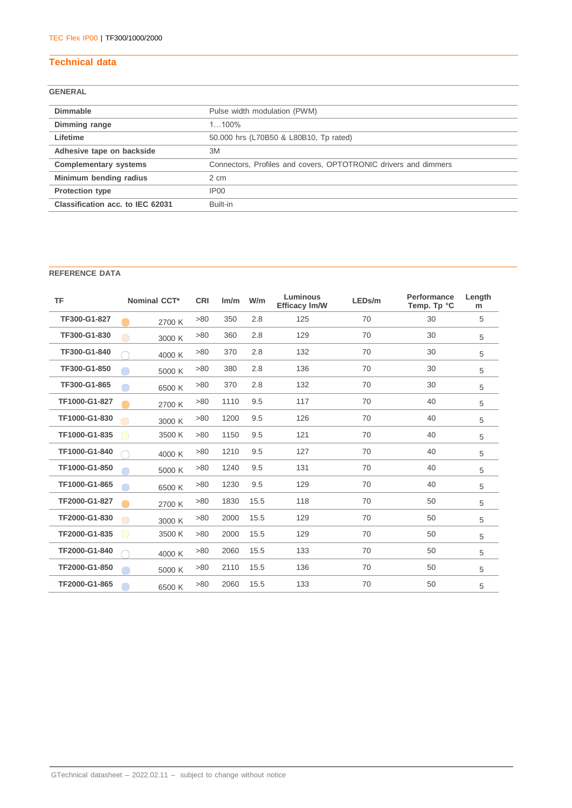# **Technical data**

# **GENERAL**

| <b>Dimmable</b>                  | Pulse width modulation (PWM)                                    |
|----------------------------------|-----------------------------------------------------------------|
| Dimming range                    | $1100\%$                                                        |
| Lifetime                         | 50.000 hrs (L70B50 & L80B10, Tp rated)                          |
| Adhesive tape on backside        | 3M                                                              |
| <b>Complementary systems</b>     | Connectors, Profiles and covers, OPTOTRONIC drivers and dimmers |
| Minimum bending radius           | 2 cm                                                            |
| <b>Protection type</b>           | IP <sub>00</sub>                                                |
| Classification acc. to IEC 62031 | Built-in                                                        |
|                                  |                                                                 |

## **REFERENCE DATA**

| <b>TF</b>     | <b>Nominal CCT*</b> | <b>CRI</b> | Im/m | W/m  | <b>Luminous</b><br><b>Efficacy Im/W</b> | LEDs/m | <b>Performance</b><br>Temp. Tp °C | Length<br>m |
|---------------|---------------------|------------|------|------|-----------------------------------------|--------|-----------------------------------|-------------|
| TF300-G1-827  | 2700 K              | >80        | 350  | 2.8  | 125                                     | 70     | 30                                | 5           |
| TF300-G1-830  | 3000 K              | >80        | 360  | 2.8  | 129                                     | 70     | 30                                | 5           |
| TF300-G1-840  | 4000 K              | >80        | 370  | 2.8  | 132                                     | 70     | 30                                | 5           |
| TF300-G1-850  | 5000 K              | >80        | 380  | 2.8  | 136                                     | 70     | 30                                | 5           |
| TF300-G1-865  | 6500 K              | >80        | 370  | 2.8  | 132                                     | 70     | 30                                | 5           |
| TF1000-G1-827 | 2700 K              | >80        | 1110 | 9.5  | 117                                     | 70     | 40                                | 5           |
| TF1000-G1-830 | 3000 K              | >80        | 1200 | 9.5  | 126                                     | 70     | 40                                | 5           |
| TF1000-G1-835 | 3500 K              | >80        | 1150 | 9.5  | 121                                     | 70     | 40                                | 5           |
| TF1000-G1-840 | 4000 K              | >80        | 1210 | 9.5  | 127                                     | 70     | 40                                | 5           |
| TF1000-G1-850 | 5000 K              | >80        | 1240 | 9.5  | 131                                     | 70     | 40                                | 5           |
| TF1000-G1-865 | 6500 K              | >80        | 1230 | 9.5  | 129                                     | 70     | 40                                | 5           |
| TF2000-G1-827 | 2700 K              | >80        | 1830 | 15.5 | 118                                     | 70     | 50                                | 5           |
| TF2000-G1-830 | 3000 K              | >80        | 2000 | 15.5 | 129                                     | 70     | 50                                | 5           |
| TF2000-G1-835 | 3500 K              | >80        | 2000 | 15.5 | 129                                     | 70     | 50                                | 5           |
| TF2000-G1-840 | 4000 K              | >80        | 2060 | 15.5 | 133                                     | 70     | 50                                | 5           |
| TF2000-G1-850 | 5000 K              | >80        | 2110 | 15.5 | 136                                     | 70     | 50                                | 5           |
| TF2000-G1-865 | 6500 K              | >80        | 2060 | 15.5 | 133                                     | 70     | 50                                | 5           |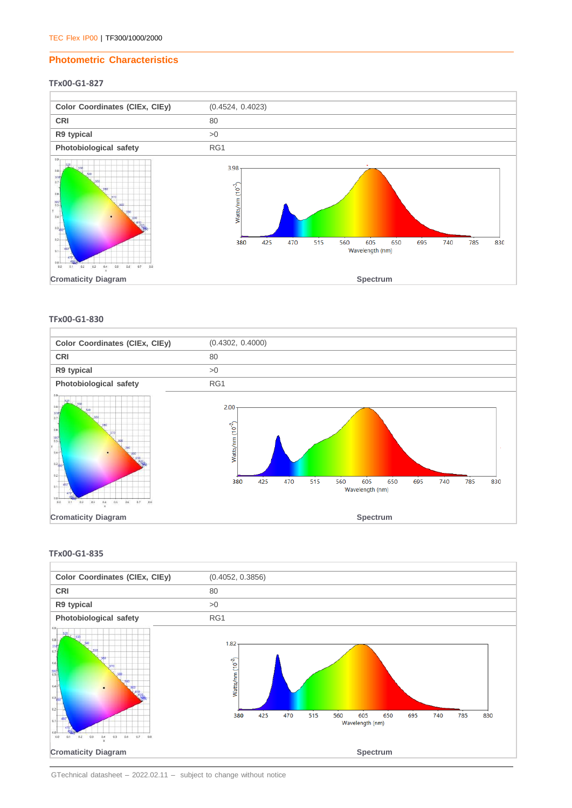## **Photometric Characteristics**

#### **TFx00-G1-827**



**TFx00-G1-830**



## **TFx00-G1-835**



GTechnical datasheet – 2022.02.11 – subject to change without notice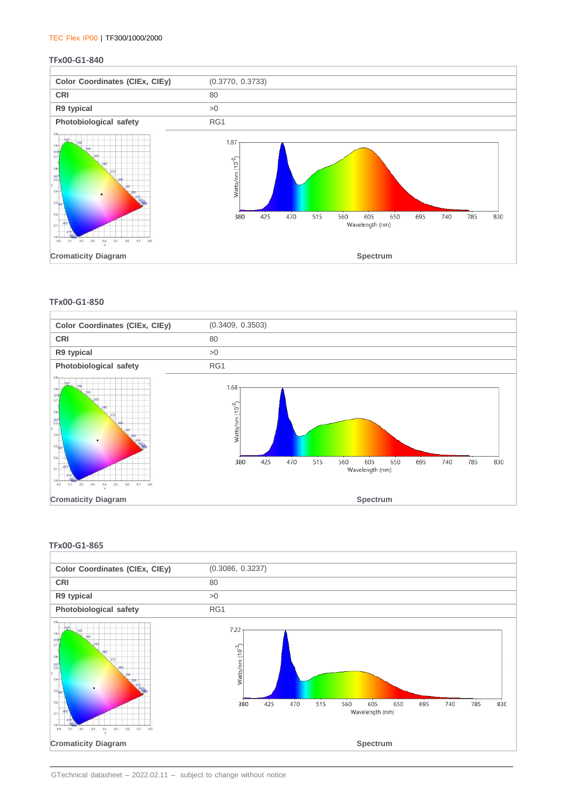#### TEC Flex IP00 | TF300/1000/2000

#### **TFx00-G1-840**



#### **TFx00-G1-850**



#### **TFx00-G1-865**

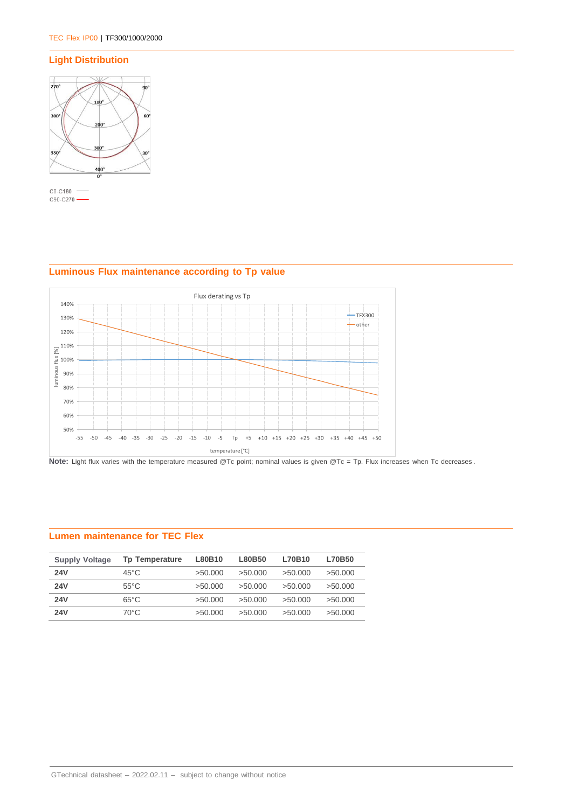## **Light Distribution**



C0-C180 - $C90-C270$   $\longrightarrow$ 

## Flux derating vs Tp 140%  $-$ TFX300 130%  $\overline{\phantom{a}}$  other 120%  $\frac{110\%}{80 \times 100\%}$ <br>  $\frac{3}{2}$  100%<br>  $\frac{3}{2}$  90%<br>  $\frac{3}{2}$  80% luminous flux [%] 80% 70% 60% 50% -55 -50 -45 -40 -35 -30 -25 -20 -15 -10 -5 Tp +5 +10 +15 +20 +25 +30 +35 +40 +45 +50 temperature [°C]

## **Luminous Flux maintenance according to Tp value**



## **Lumen maintenance for TEC Flex**

| <b>Supply Voltage</b> | <b>Tp Temperature</b> | L80B10  | L80B50  | L70B10  | <b>L70B50</b> |
|-----------------------|-----------------------|---------|---------|---------|---------------|
| <b>24V</b>            | $45^{\circ}$ C        | >50.000 | >50.000 | >50.000 | >50.000       |
| <b>24V</b>            | $55^{\circ}$ C        | >50.000 | >50.000 | >50.000 | >50.000       |
| <b>24V</b>            | $65^{\circ}$ C        | >50.000 | >50.000 | >50.000 | >50.000       |
| <b>24V</b>            | 70°C                  | >50.000 | >50.000 | >50.000 | >50.000       |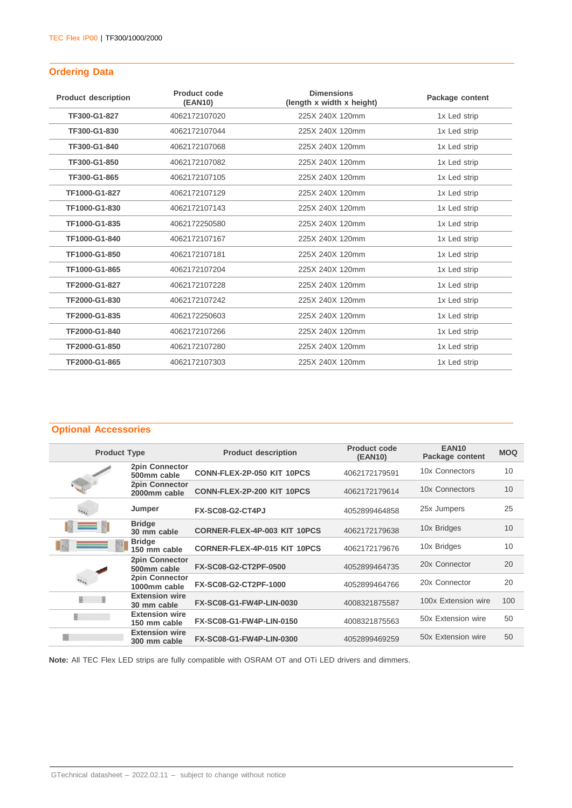## **Ordering Data**

| <b>Product description</b> | Product code<br>(EAN10) | <b>Dimensions</b><br>(length x width x height) | Package content |
|----------------------------|-------------------------|------------------------------------------------|-----------------|
| TF300-G1-827               | 4062172107020           | 225X 240X 120mm                                | 1x Led strip    |
| TF300-G1-830               | 4062172107044           | 225X 240X 120mm                                | 1x Led strip    |
| TF300-G1-840               | 4062172107068           | 225X 240X 120mm                                | 1x Led strip    |
| TF300-G1-850               | 4062172107082           | 225X 240X 120mm                                | 1x Led strip    |
| TF300-G1-865               | 4062172107105           | 225X 240X 120mm                                | 1x Led strip    |
| TF1000-G1-827              | 4062172107129           | 225X 240X 120mm                                | 1x Led strip    |
| TF1000-G1-830              | 4062172107143           | 225X 240X 120mm                                | 1x Led strip    |
| TF1000-G1-835              | 4062172250580           | 225X 240X 120mm                                | 1x Led strip    |
| TF1000-G1-840              | 4062172107167           | 225X 240X 120mm                                | 1x Led strip    |
| TF1000-G1-850              | 4062172107181           | 225X 240X 120mm                                | 1x Led strip    |
| TF1000-G1-865              | 4062172107204           | 225X 240X 120mm                                | 1x Led strip    |
| TF2000-G1-827              | 4062172107228           | 225X 240X 120mm                                | 1x Led strip    |
| TF2000-G1-830              | 4062172107242           | 225X 240X 120mm                                | 1x Led strip    |
| TF2000-G1-835              | 4062172250603           | 225X 240X 120mm                                | 1x Led strip    |
| TF2000-G1-840              | 4062172107266           | 225X 240X 120mm                                | 1x Led strip    |
| TF2000-G1-850              | 4062172107280           | 225X 240X 120mm                                | 1x Led strip    |
| TF2000-G1-865              | 4062172107303           | 225X 240X 120mm                                | 1x Led strip    |

## **Optional Accessories**

| <b>Product Type</b> |                                       | <b>Product description</b>          | <b>Product code</b><br>(EAN10) | <b>EAN10</b><br>Package content | <b>MOQ</b> |
|---------------------|---------------------------------------|-------------------------------------|--------------------------------|---------------------------------|------------|
|                     | <b>2pin Connector</b><br>500mm cable  | CONN-FLEX-2P-050 KIT 10PCS          | 4062172179591                  | 10x Connectors                  | 10         |
|                     | 2pin Connector<br>2000mm cable        | CONN-FLEX-2P-200 KIT 10PCS          | 4062172179614                  | 10x Connectors                  | 10         |
|                     | Jumper                                | FX-SC08-G2-CT4PJ                    | 4052899464858                  | 25x Jumpers                     | 25         |
|                     | <b>Bridge</b><br>30 mm cable          | <b>CORNER-FLEX-4P-003 KIT 10PCS</b> | 4062172179638                  | 10x Bridges                     | 10         |
|                     | <b>Bridge</b><br>150 mm cable         | <b>CORNER-FLEX-4P-015 KIT 10PCS</b> | 4062172179676                  | 10x Bridges                     | 10         |
|                     | <b>2pin Connector</b><br>500mm cable  | FX-SC08-G2-CT2PF-0500               | 4052899464735                  | 20x Connector                   | 20         |
|                     | 2pin Connector<br>1000mm cable        | FX-SC08-G2-CT2PF-1000               | 4052899464766                  | 20x Connector                   | 20         |
| E<br>≣              | <b>Extension wire</b><br>30 mm cable  | FX-SC08-G1-FW4P-LIN-0030            | 4008321875587                  | 100x Extension wire             | 100        |
| E.                  | <b>Extension wire</b><br>150 mm cable | FX-SC08-G1-FW4P-LIN-0150            | 4008321875563                  | 50x Extension wire              | 50         |
|                     | <b>Extension wire</b><br>300 mm cable | FX-SC08-G1-FW4P-LIN-0300            | 4052899469259                  | 50x Extension wire              | 50         |

**Note:** All TEC Flex LED strips are fully compatible with OSRAM OT and OTi LED drivers and dimmers.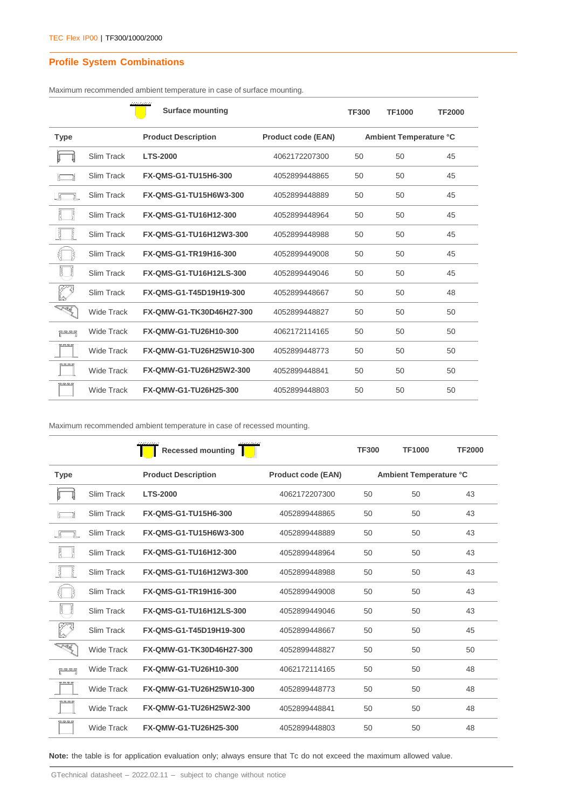# **Profile System Combinations**

|                    |                   | <b>Surface mounting</b>     |                           | <b>TF300</b>           | <b>TF1000</b> | <b>TF2000</b> |  |
|--------------------|-------------------|-----------------------------|---------------------------|------------------------|---------------|---------------|--|
| <b>Type</b>        |                   | <b>Product Description</b>  | <b>Product code (EAN)</b> | Ambient Temperature °C |               |               |  |
|                    | Slim Track        | <b>LTS-2000</b>             | 4062172207300             | 50                     | 50            | 45            |  |
|                    | Slim Track        | <b>FX-QMS-G1-TU15H6-300</b> | 4052899448865             | 50                     | 50            | 45            |  |
|                    | Slim Track        | FX-QMS-G1-TU15H6W3-300      | 4052899448889             | 50                     | 50            | 45            |  |
| ļ<br>틚             | Slim Track        | FX-QMS-G1-TU16H12-300       | 4052899448964             | 50                     | 50            | 45            |  |
| $\frac{1}{2}$<br>틙 | Slim Track        | FX-QMS-G1-TU16H12W3-300     | 4052899448988             | 50                     | 50            | 45            |  |
| e                  | Slim Track        | FX-QMS-G1-TR19H16-300       | 4052899449008             | 50                     | 50            | 45            |  |
| <b>R</b><br>Ford.  | Slim Track        | FX-QMS-G1-TU16H12LS-300     | 4052899449046             | 50                     | 50            | 45            |  |
|                    | Slim Track        | FX-QMS-G1-T45D19H19-300     | 4052899448667             | 50                     | 50            | 48            |  |
| <b>REA</b>         | <b>Wide Track</b> | FX-QMW-G1-TK30D46H27-300    | 4052899448827             | 50                     | 50            | 50            |  |
| ي<br>پنج ڪو جو حو  | Wide Track        | FX-QMW-G1-TU26H10-300       | 4062172114165             | 50                     | 50            | 50            |  |
| F F F 5            | <b>Wide Track</b> | FX-QMW-G1-TU26H25W10-300    | 4052899448773             | 50                     | 50            | 50            |  |
| 7 5 5 5            | Wide Track        | FX-QMW-G1-TU26H25W2-300     | 4052899448841             | 50                     | 50            | 50            |  |
| RRRS               | <b>Wide Track</b> | FX-QMW-G1-TU26H25-300       | 4052899448803             | 50                     | 50            | 50            |  |

Maximum recommended ambient temperature in case of surface mounting.

Maximum recommended ambient temperature in case of recessed mounting.

|                                |                   | Recessed mounting           |                           | <b>TF300</b> | <b>TF1000</b>          | <b>TF2000</b> |
|--------------------------------|-------------------|-----------------------------|---------------------------|--------------|------------------------|---------------|
| <b>Type</b>                    |                   | <b>Product Description</b>  | <b>Product code (EAN)</b> |              | Ambient Temperature °C |               |
|                                | Slim Track        | <b>LTS-2000</b>             | 4062172207300             | 50           | 50                     | 43            |
|                                | <b>Slim Track</b> | <b>FX-QMS-G1-TU15H6-300</b> | 4052899448865             | 50           | 50                     | 43            |
|                                | <b>Slim Track</b> | FX-QMS-G1-TU15H6W3-300      | 4052899448889             | 50           | 50                     | 43            |
|                                | Slim Track        | FX-QMS-G1-TU16H12-300       | 4052899448964             | 50           | 50                     | 43            |
|                                | <b>Slim Track</b> | FX-QMS-G1-TU16H12W3-300     | 4052899448988             | 50           | 50                     | 43            |
| Ŗ                              | Slim Track        | FX-QMS-G1-TR19H16-300       | 4052899449008             | 50           | 50                     | 43            |
| $\frac{1}{2}$<br>$\frac{1}{2}$ | Slim Track        | FX-QMS-G1-TU16H12LS-300     | 4052899449046             | 50           | 50                     | 43            |
|                                | <b>Slim Track</b> | FX-QMS-G1-T45D19H19-300     | 4052899448667             | 50           | 50                     | 45            |
| <b>RA</b>                      | <b>Wide Track</b> | FX-QMW-G1-TK30D46H27-300    | 4052899448827             | 50           | 50                     | 50            |
| ید جو جو جو                    | <b>Wide Track</b> | FX-QMW-G1-TU26H10-300       | 4062172114165             | 50           | 50                     | 48            |
| F F F 5                        | <b>Wide Track</b> | FX-QMW-G1-TU26H25W10-300    | 4052899448773             | 50           | 50                     | 48            |
| 2525                           | Wide Track        | FX-QMW-G1-TU26H25W2-300     | 4052899448841             | 50           | 50                     | 48            |
|                                | <b>Wide Track</b> | FX-QMW-G1-TU26H25-300       | 4052899448803             | 50           | 50                     | 48            |

**Note:** the table is for application evaluation only; always ensure that Tc do not exceed the maximum allowed value.